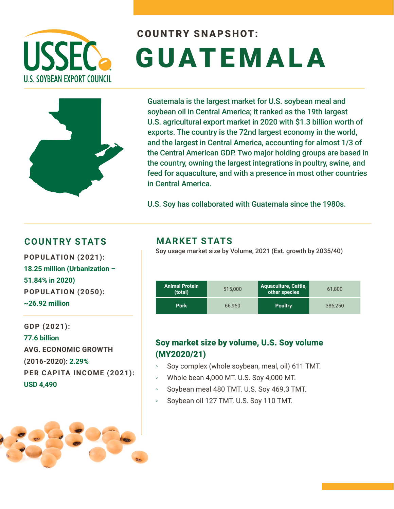

# COUNTRY SNAPSHOT: GUATEMALA



Guatemala is the largest market for U.S. soybean meal and soybean oil in Central America; it ranked as the 19th largest U.S. agricultural export market in 2020 with \$1.3 billion worth of exports. The country is the 72nd largest economy in the world, and the largest in Central America, accounting for almost 1/3 of the Central American GDP. Two major holding groups are based in the country, owning the largest integrations in poultry, swine, and feed for aquaculture, and with a presence in most other countries in Central America.

U.S. Soy has collaborated with Guatemala since the 1980s.

### **COUNTRY STATS MARKET STATS**

**18.25 million (Urbanization – 51.84% in 2020) POPULATION (2050): ~26.92 million**

**GDP (2021): 77.6 billion AVG. ECONOMIC GROWTH (2016-2020): 2.29% PER CAPITA INCOME (2021): USD 4,490**



Soy usage market size by Volume, 2021 (Est. growth by 2035/40) **POPULATION (2021):** 

| <b>Animal Protein</b><br>(total) | 515,000 | Aquaculture, Cattle,<br>other species | 61.800  |
|----------------------------------|---------|---------------------------------------|---------|
| <b>Pork</b>                      | 66.950  | <b>Poultry</b>                        | 386.250 |

### Soy market size by volume, U.S. Soy volume (MY2020/21)

- Soy complex (whole soybean, meal, oil) 611 TMT.
- Whole bean 4,000 MT. U.S. Soy 4,000 MT.
- Soybean meal 480 TMT. U.S. Soy 469.3 TMT.
- Soybean oil 127 TMT. U.S. Soy 110 TMT.